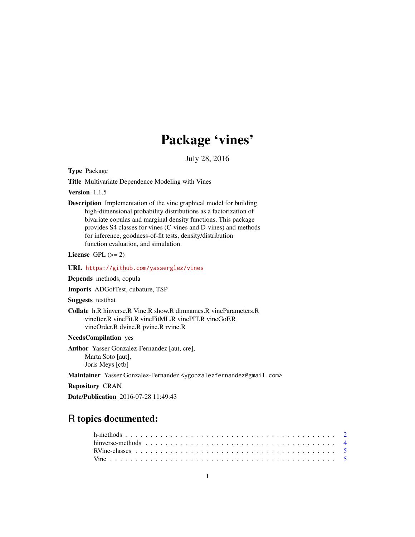## Package 'vines'

July 28, 2016

<span id="page-0-0"></span>Type Package

Title Multivariate Dependence Modeling with Vines

Version 1.1.5

Description Implementation of the vine graphical model for building high-dimensional probability distributions as a factorization of bivariate copulas and marginal density functions. This package provides S4 classes for vines (C-vines and D-vines) and methods for inference, goodness-of-fit tests, density/distribution function evaluation, and simulation.

License GPL  $(>= 2)$ 

URL <https://github.com/yasserglez/vines>

Depends methods, copula

Imports ADGofTest, cubature, TSP

Suggests testthat

```
Collate h.R hinverse.R Vine.R show.R dimnames.R vineParameters.R
     vineIter.R vineFit.R vineFitML.R vinePIT.R vineGoF.R
     vineOrder.R dvine.R pvine.R rvine.R
```
NeedsCompilation yes

Author Yasser Gonzalez-Fernandez [aut, cre], Marta Soto [aut], Joris Meys [ctb]

Maintainer Yasser Gonzalez-Fernandez <ygonzalezfernandez@gmail.com>

Repository CRAN

Date/Publication 2016-07-28 11:49:43

### R topics documented: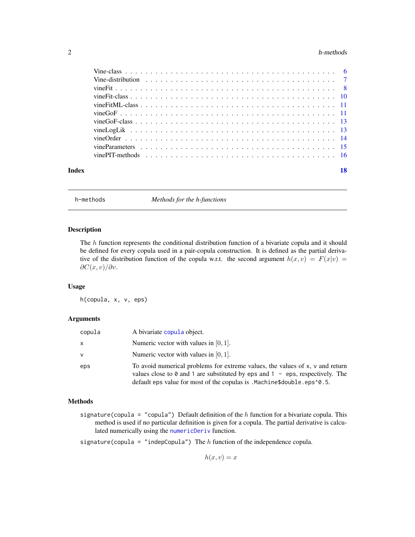#### <span id="page-1-0"></span> $2 \t h$ -methods

| Index | 18 |
|-------|----|

h-methods *Methods for the h-functions*

#### Description

The h function represents the conditional distribution function of a bivariate copula and it should be defined for every copula used in a pair-copula construction. It is defined as the partial derivative of the distribution function of the copula w.r.t. the second argument  $h(x, v) = F(x|v)$  $\partial C(x,v)/\partial v$ .

#### Usage

h(copula, x, v, eps)

#### Arguments

| copula       | A bivariate copula object.                                                                                                                                                                                                                                      |
|--------------|-----------------------------------------------------------------------------------------------------------------------------------------------------------------------------------------------------------------------------------------------------------------|
| X            | Numeric vector with values in $[0, 1]$ .                                                                                                                                                                                                                        |
| $\mathsf{v}$ | Numeric vector with values in $[0, 1]$ .                                                                                                                                                                                                                        |
| eps          | To avoid numerical problems for extreme values, the values of x, y and return<br>values close to $\theta$ and 1 are substituted by eps and 1 - eps, respectively. The<br>default eps value for most of the copulas is . Machine\$double. eps $\textdegree$ 0.5. |

#### Methods

signature(copula = "copula") Default definition of the  $h$  function for a bivariate copula. This method is used if no particular definition is given for a copula. The partial derivative is calculated numerically using the [numericDeriv](#page-0-0) function.

signature(copula = "indepCopula") The  $h$  function of the independence copula.

 $h(x, v) = x$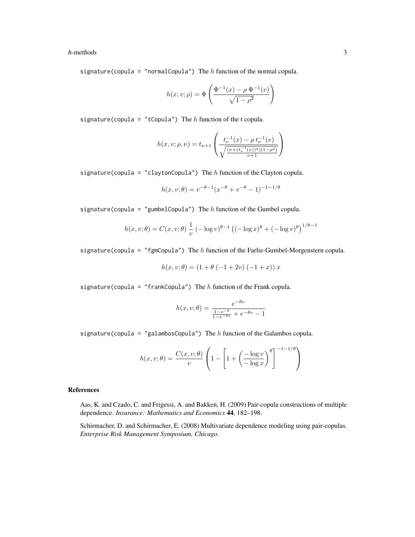#### h-methods 3

signature(copula = "normalCopula") The  $h$  function of the normal copula.

$$
h(x, v; \rho) = \Phi\left(\frac{\Phi^{-1}(x) - \rho \Phi^{-1}(v)}{\sqrt{1 - \rho^2}}\right)
$$

signature(copula = "tCopula") The  $h$  function of the t copula.

$$
h(x, v; \rho, \nu) = t_{\nu+1} \left( \frac{t_{\nu}^{-1}(x) - \rho t_{\nu}^{-1}(v)}{\sqrt{\frac{(\nu + (t_{\nu}^{-1}(v))^2)(1 - \rho^2)}{\nu + 1}}} \right)
$$

signature(copula = "claytonCopula") The  $h$  function of the Clayton copula.

$$
h(x, v; \theta) = v^{-\theta - 1} (x^{-\theta} + v^{-\theta} - 1)^{-1 - 1/\theta}
$$

signature(copula = "gumbelCopula") The  $h$  function of the Gumbel copula.

$$
h(x, v; \theta) = C(x, v; \theta) \frac{1}{v} \left( -\log v \right)^{\theta - 1} \left( (-\log x)^{\theta} + (-\log v)^{\theta} \right)^{1/\theta - 1}
$$

signature(copula = "fgmCopula") The  $h$  function of the Farlie-Gumbel-Morgenstern copula.

$$
h(x, v; \theta) = (1 + \theta (-1 + 2v) (-1 + x)) x
$$

signature(copula = "frankCopula") The  $h$  function of the Frank copula.

$$
h(x, v; \theta) = \frac{e^{-\theta v}}{\frac{1 - e^{-\theta}}{1 - e^{-\theta x}} + e^{-\theta v} - 1}
$$

signature(copula = "galambosCopula") The  $h$  function of the Galambos copula.

$$
h(x, v; \theta) = \frac{C(x, v; \theta)}{v} \left( 1 - \left[ 1 + \left( \frac{-\log v}{-\log x} \right)^{\theta} \right]^{-1 - 1/\theta} \right)
$$

#### References

Aas, K. and Czado, C. and Frigessi, A. and Bakken, H. (2009) Pair-copula constructions of multiple dependence. *Insurance: Mathematics and Economics* 44, 182–198.

Schirmacher, D. and Schirmacher, E. (2008) Multivariate dependence modeling using pair-copulas. *Enterprise Risk Management Symposium, Chicago*.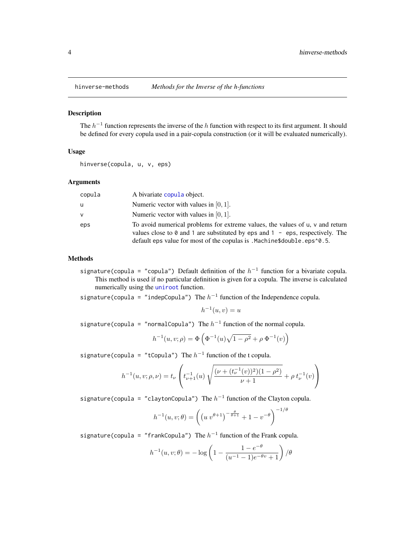<span id="page-3-0"></span>

#### Description

The  $h^{-1}$  function represents the inverse of the h function with respect to its first argument. It should be defined for every copula used in a pair-copula construction (or it will be evaluated numerically).

#### Usage

hinverse(copula, u, v, eps)

#### Arguments

| copula | A bivariate copula object.                                                                                                                                                                                                                  |
|--------|---------------------------------------------------------------------------------------------------------------------------------------------------------------------------------------------------------------------------------------------|
| u      | Numeric vector with values in $[0, 1]$ .                                                                                                                                                                                                    |
| v      | Numeric vector with values in $[0, 1]$ .                                                                                                                                                                                                    |
| eps    | To avoid numerical problems for extreme values, the values of u, v and return<br>values close to 0 and 1 are substituted by eps and $1 - eps$ , respectively. The<br>default eps value for most of the copulas is .Machine\$double.eps^0.5. |

#### Methods

signature(copula = "copula") Default definition of the  $h^{-1}$  function for a bivariate copula. This method is used if no particular definition is given for a copula. The inverse is calculated numerically using the [uniroot](#page-0-0) function.

signature(copula = "indepCopula") The  $h^{-1}$  function of the Independence copula.

$$
h^{-1}(u,v) = u
$$

signature(copula = "normalCopula") The  $h^{-1}$  function of the normal copula.

$$
h^{-1}(u, v; \rho) = \Phi\left(\Phi^{-1}(u)\sqrt{1-\rho^2} + \rho \Phi^{-1}(v)\right)
$$

signature(copula = "tCopula") The  $h^{-1}$  function of the t copula.

$$
h^{-1}(u, v; \rho, \nu) = t_{\nu} \left( t_{\nu+1}^{-1}(u) \sqrt{\frac{(\nu + (t_{\nu}^{-1}(v))^2)(1 - \rho^2)}{\nu + 1}} + \rho t_{\nu}^{-1}(v) \right)
$$

signature(copula = "claytonCopula") The  $h^{-1}$  function of the Clayton copula.

$$
h^{-1}(u, v; \theta) = \left( \left( u v^{\theta+1} \right)^{-\frac{\theta}{\theta+1}} + 1 - v^{-\theta} \right)^{-1/\theta}
$$

signature(copula = "frankCopula") The  $h^{-1}$  function of the Frank copula.

$$
h^{-1}(u, v; \theta) = -\log\left(1 - \frac{1 - e^{-\theta}}{(u^{-1} - 1)e^{-\theta v} + 1}\right) / \theta
$$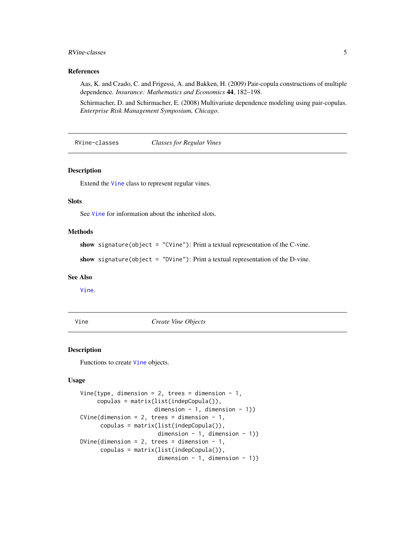#### <span id="page-4-0"></span>RVine-classes 5

#### References

Aas, K. and Czado, C. and Frigessi, A. and Bakken, H. (2009) Pair-copula constructions of multiple dependence. *Insurance: Mathematics and Economics* 44, 182–198.

Schirmacher, D. and Schirmacher, E. (2008) Multivariate dependence modeling using pair-copulas. *Enterprise Risk Management Symposium, Chicago*.

RVine-classes *Classes for Regular Vines*

#### <span id="page-4-1"></span>Description

Extend the [Vine](#page-5-1) class to represent regular vines.

#### Slots

See [Vine](#page-5-1) for information about the inherited slots.

#### Methods

show signature(object = "CVine"): Print a textual representation of the C-vine.

show signature(object = "DVine"): Print a textual representation of the D-vine.

#### See Also

[Vine](#page-5-1).

Vine *Create Vine Objects*

#### Description

Functions to create [Vine](#page-5-1) objects.

#### Usage

```
Vine(type, dimension = 2, trees = dimension - 1,
     copulas = matrix(list(indepCopula()),
                      dimension - 1, dimension - 1))
CVine(dimension = 2, trees = dimension - 1,
     copulas = matrix(list(indepCopula()),
                       dimension - 1, dimension - 1))
DVine(dimension = 2, trees = dimension - 1,
     copulas = matrix(list(indepCopula()),
                       dimension - 1, dimension - 1))
```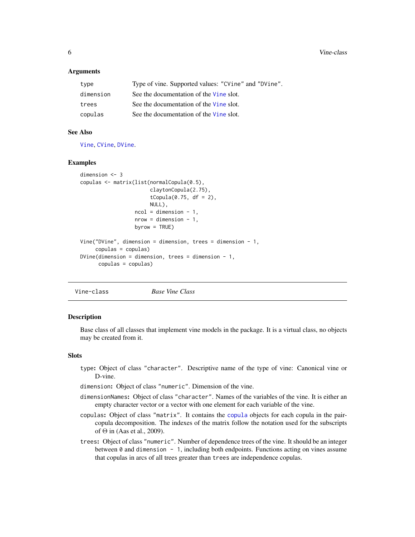#### <span id="page-5-0"></span>**Arguments**

| type      | Type of vine. Supported values: "CVine" and "DVine". |
|-----------|------------------------------------------------------|
| dimension | See the documentation of the Vine slot.              |
| trees     | See the documentation of the Vine slot.              |
| copulas   | See the documentation of the Vine slot.              |

#### See Also

[Vine](#page-5-1), [CVine](#page-4-1), [DVine](#page-4-1).

#### Examples

```
dimension <- 3
copulas <- matrix(list(normalCopula(0.5),
                       claytonCopula(2.75),
                       tCopula(0.75, df = 2),
                       NULL),
                  ncol = dimension - 1,
                  nrow = dimension - 1,
                  byrow = TRUE)
Vine("DVine", dimension = dimension, trees = dimension - 1,
    copulas = copulas)
DVine(dimension = dimension, trees = dimension - 1,
     copulas = copulas)
```
<span id="page-5-1"></span>Vine-class *Base Vine Class*

#### Description

Base class of all classes that implement vine models in the package. It is a virtual class, no objects may be created from it.

#### Slots

- type: Object of class "character". Descriptive name of the type of vine: Canonical vine or D-vine.
- dimension: Object of class "numeric". Dimension of the vine.
- dimensionNames: Object of class "character". Names of the variables of the vine. It is either an empty character vector or a vector with one element for each variable of the vine.
- copulas: Object of class "matrix". It contains the [copula](#page-0-0) objects for each copula in the paircopula decomposition. The indexes of the matrix follow the notation used for the subscripts of Θ in (Aas et al., 2009).
- trees: Object of class "numeric". Number of dependence trees of the vine. It should be an integer between  $\theta$  and dimension - 1, including both endpoints. Functions acting on vines assume that copulas in arcs of all trees greater than trees are independence copulas.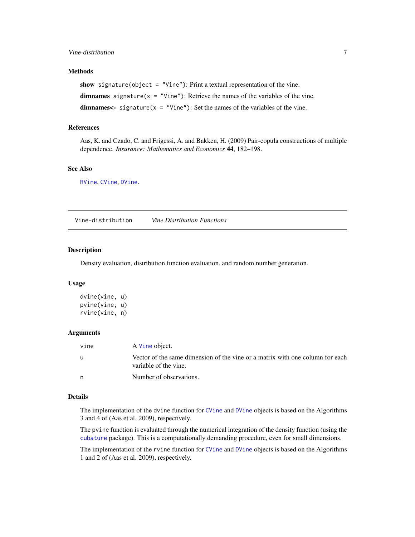#### <span id="page-6-0"></span>Vine-distribution 7

#### Methods

show signature(object = "Vine"): Print a textual representation of the vine.

dimnames signature( $x =$  "Vine"): Retrieve the names of the variables of the vine.

dimnames<- signature( $x =$  "Vine"): Set the names of the variables of the vine.

#### References

Aas, K. and Czado, C. and Frigessi, A. and Bakken, H. (2009) Pair-copula constructions of multiple dependence. *Insurance: Mathematics and Economics* 44, 182–198.

#### See Also

[RVine](#page-4-1), [CVine](#page-4-1), [DVine](#page-4-1).

Vine-distribution *Vine Distribution Functions*

#### Description

Density evaluation, distribution function evaluation, and random number generation.

#### Usage

dvine(vine, u) pvine(vine, u) rvine(vine, n)

#### Arguments

| vine | A Vine object.                                                                                         |
|------|--------------------------------------------------------------------------------------------------------|
| - U  | Vector of the same dimension of the vine or a matrix with one column for each<br>variable of the vine. |
| n.   | Number of observations.                                                                                |

#### Details

The implementation of the dvine function for [CVine](#page-4-1) and [DVine](#page-4-1) objects is based on the Algorithms 3 and 4 of (Aas et al. 2009), respectively.

The pvine function is evaluated through the numerical integration of the density function (using the [cubature](#page-0-0) package). This is a computationally demanding procedure, even for small dimensions.

The implementation of the rvine function for [CVine](#page-4-1) and [DVine](#page-4-1) objects is based on the Algorithms 1 and 2 of (Aas et al. 2009), respectively.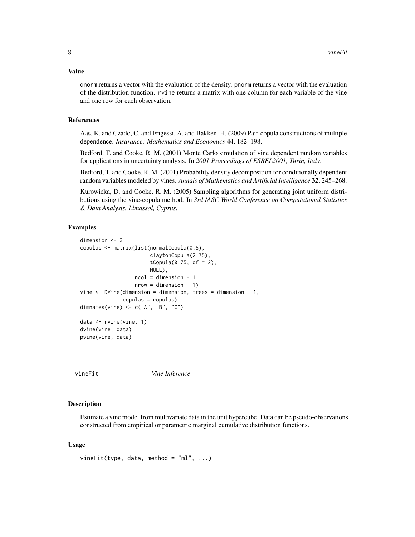#### <span id="page-7-0"></span>Value

dnorm returns a vector with the evaluation of the density. pnorm returns a vector with the evaluation of the distribution function. rvine returns a matrix with one column for each variable of the vine and one row for each observation.

#### References

Aas, K. and Czado, C. and Frigessi, A. and Bakken, H. (2009) Pair-copula constructions of multiple dependence. *Insurance: Mathematics and Economics* 44, 182–198.

Bedford, T. and Cooke, R. M. (2001) Monte Carlo simulation of vine dependent random variables for applications in uncertainty analysis. In *2001 Proceedings of ESREL2001, Turin, Italy*.

Bedford, T. and Cooke, R. M. (2001) Probability density decomposition for conditionally dependent random variables modeled by vines. *Annals of Mathematics and Artificial Intelligence* 32, 245–268.

Kurowicka, D. and Cooke, R. M. (2005) Sampling algorithms for generating joint uniform distributions using the vine-copula method. In *3rd IASC World Conference on Computational Statistics & Data Analysis, Limassol, Cyprus*.

#### Examples

```
dimension <- 3
copulas <- matrix(list(normalCopula(0.5),
                       claytonCopula(2.75),
                       tCopula(0.75, df = 2),
                       NULL),
                  ncol = dimension - 1,
                  nrow = dimension - 1)
vine <- DVine(dimension = dimension, trees = dimension - 1,
              copulas = copulas)
dimnames(vine) <- c("A", "B", "C")data <- rvine(vine, 1)
dvine(vine, data)
pvine(vine, data)
```
<span id="page-7-1"></span>vineFit *Vine Inference*

#### Description

Estimate a vine model from multivariate data in the unit hypercube. Data can be pseudo-observations constructed from empirical or parametric marginal cumulative distribution functions.

#### Usage

```
vineFit(type, data, method = m_1, ...)
```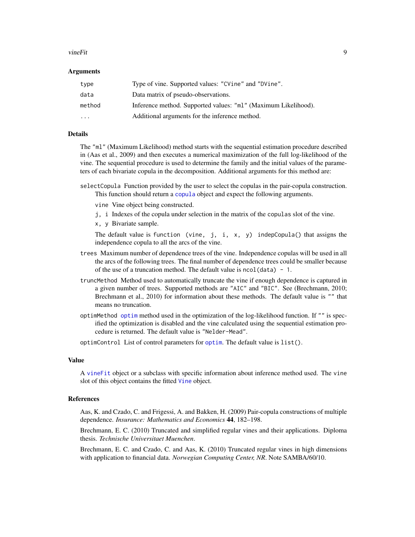#### <span id="page-8-0"></span>vineFit 9

#### Arguments

| type   | Type of vine. Supported values: "CVine" and "DVine".           |
|--------|----------------------------------------------------------------|
| data   | Data matrix of pseudo-observations.                            |
| method | Inference method. Supported values: "ml" (Maximum Likelihood). |
| .      | Additional arguments for the inference method.                 |

#### Details

The "ml" (Maximum Likelihood) method starts with the sequential estimation procedure described in (Aas et al., 2009) and then executes a numerical maximization of the full log-likelihood of the vine. The sequential procedure is used to determine the family and the initial values of the parameters of each bivariate copula in the decomposition. Additional arguments for this method are:

- selectCopula Function provided by the user to select the copulas in the pair-copula construction. This function should return a [copula](#page-0-0) object and expect the following arguments.
	- vine Vine object being constructed.
	- j, i Indexes of the copula under selection in the matrix of the copulas slot of the vine.
	- x, y Bivariate sample.

The default value is function (vine, j, i, x, y) indepCopula() that assigns the independence copula to all the arcs of the vine.

- trees Maximum number of dependence trees of the vine. Independence copulas will be used in all the arcs of the following trees. The final number of dependence trees could be smaller because of the use of a truncation method. The default value is  $ncol(data) - 1$ .
- truncMethod Method used to automatically truncate the vine if enough dependence is captured in a given number of trees. Supported methods are "AIC" and "BIC". See (Brechmann, 2010; Brechmann et al., 2010) for information about these methods. The default value is "" that means no truncation.
- optimMethod [optim](#page-0-0) method used in the optimization of the log-likelihood function. If "" is specified the optimization is disabled and the vine calculated using the sequential estimation procedure is returned. The default value is "Nelder-Mead".

optimControl List of control parameters for [optim](#page-0-0). The default value is list().

#### Value

A [vineFit](#page-9-1) object or a subclass with specific information about inference method used. The vine slot of this object contains the fitted [Vine](#page-5-1) object.

#### References

Aas, K. and Czado, C. and Frigessi, A. and Bakken, H. (2009) Pair-copula constructions of multiple dependence. *Insurance: Mathematics and Economics* 44, 182–198.

Brechmann, E. C. (2010) Truncated and simplified regular vines and their applications. Diploma thesis. *Technische Universitaet Muenchen*.

Brechmann, E. C. and Czado, C. and Aas, K. (2010) Truncated regular vines in high dimensions with application to financial data. *Norwegian Computing Center, NR*. Note SAMBA/60/10.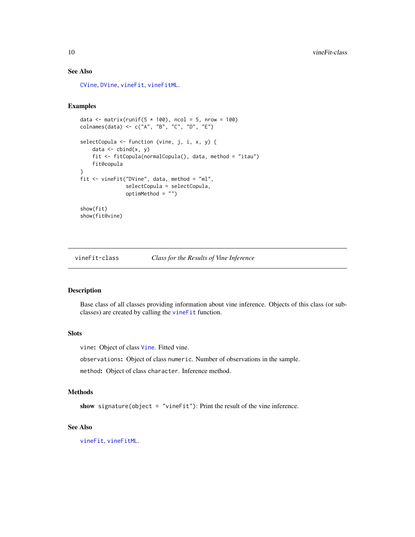#### See Also

[CVine](#page-4-1), [DVine](#page-4-1), [vineFit](#page-9-1), [vineFitML](#page-10-1).

### Examples

```
data \le matrix(runif(5 \neq 100), ncol = 5, nrow = 100)
colnames(data) <- c("A", "B", "C", "D", "E")
selectCopula <- function (vine, j, i, x, y) {
    data \leftarrow cbind(x, y)fit <- fitCopula(normalCopula(), data, method = "itau")
   fit@copula
}
fit <- vineFit("DVine", data, method = "ml",
               selectCopula = selectCopula,
               optimMethod = "")show(fit)
show(fit@vine)
```
<span id="page-9-1"></span>

vineFit-class *Class for the Results of Vine Inference*

#### Description

Base class of all classes providing information about vine inference. Objects of this class (or subclasses) are created by calling the [vineFit](#page-7-1) function.

#### **Slots**

vine: Object of class [Vine](#page-5-1). Fitted vine.

observations: Object of class numeric. Number of observations in the sample.

method: Object of class character. Inference method.

#### Methods

show signature(object = "vineFit"): Print the result of the vine inference.

#### See Also

[vineFit](#page-7-1), [vineFitML](#page-10-1).

<span id="page-9-0"></span>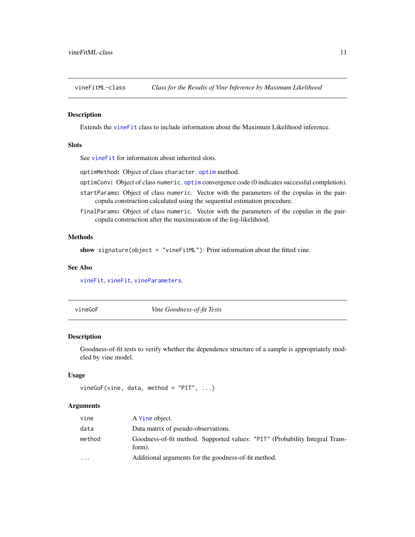<span id="page-10-1"></span><span id="page-10-0"></span>

#### Description

Extends the [vineFit](#page-9-1) class to include information about the Maximum Likelihood inference.

#### **Slots**

See [vineFit](#page-9-1) for information about inherited slots.

optimMethod: Object of class character. [optim](#page-0-0) method.

optimConv: Object of class numeric. [optim](#page-0-0) convergence code (0 indicates successful completion).

- startParams: Object of class numeric. Vector with the parameters of the copulas in the paircopula construction calculated using the sequential estimation procedure.
- finalParams: Object of class numeric. Vector with the parameters of the copulas in the paircopula construction after the maximization of the log-likelihood.

#### Methods

show signature(object = "vineFitML"): Print information about the fitted vine.

#### See Also

[vineFit](#page-9-1), [vineFit](#page-7-1), [vineParameters](#page-14-1).

<span id="page-10-2"></span>vineGoF *Vine Goodness-of-fit Tests*

#### Description

Goodness-of-fit tests to verify whether the dependence structure of a sample is appropriately modeled by vine model.

#### Usage

```
vineGoF(vine, data, method = "PIT", ...)
```
#### Arguments

| vine      | A Vine object.                                                                         |
|-----------|----------------------------------------------------------------------------------------|
| data      | Data matrix of pseudo-observations.                                                    |
| method    | Goodness-of-fit method. Supported values: "PIT" (Probability Integral Trans-<br>form). |
| $\ddotsc$ | Additional arguments for the goodness-of-fit method.                                   |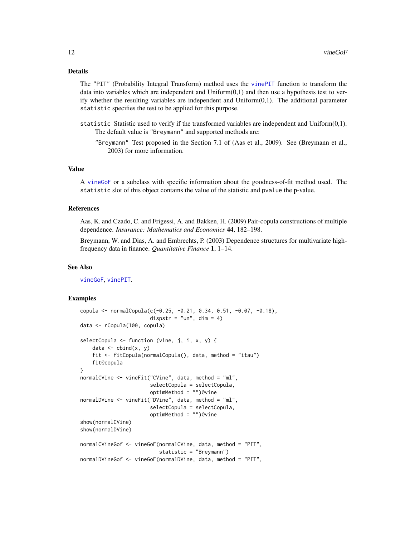#### <span id="page-11-0"></span>Details

The "PIT" (Probability Integral Transform) method uses the [vinePIT](#page-15-1) function to transform the data into variables which are independent and  $Uniform(0,1)$  and then use a hypothesis test to verify whether the resulting variables are independent and Uniform(0,1). The additional parameter statistic specifies the test to be applied for this purpose.

- statistic Statistic used to verify if the transformed variables are independent and Uniform(0,1). The default value is "Breymann" and supported methods are:
	- "Breymann" Test proposed in the Section 7.1 of (Aas et al., 2009). See (Breymann et al., 2003) for more information.

#### Value

A [vineGoF](#page-12-1) or a subclass with specific information about the goodness-of-fit method used. The statistic slot of this object contains the value of the statistic and pvalue the p-value.

#### References

Aas, K. and Czado, C. and Frigessi, A. and Bakken, H. (2009) Pair-copula constructions of multiple dependence. *Insurance: Mathematics and Economics* 44, 182–198.

Breymann, W. and Dias, A. and Embrechts, P. (2003) Dependence structures for multivariate highfrequency data in finance. *Quantitative Finance* 1, 1–14.

#### See Also

[vineGoF](#page-12-1), [vinePIT](#page-15-1).

#### Examples

```
copula <- normalCopula(c(-0.25, -0.21, 0.34, 0.51, -0.07, -0.18),
                       dispstr = "un", dim = 4)data <- rCopula(100, copula)
selectCopula <- function (vine, j, i, x, y) {
    data \leq cbind(x, y)
    fit <- fitCopula(normalCopula(), data, method = "itau")
    fit@copula
}
normalCVine <- vineFit("CVine", data, method = "ml",
                       selectCopula = selectCopula,
                       optimMethod = "")@vine
normalDVine <- vineFit("DVine", data, method = "ml",
                       selectCopula = selectCopula,
                       optimMethod = "")@vine
show(normalCVine)
show(normalDVine)
normalCVineGof <- vineGoF(normalCVine, data, method = "PIT",
                          statistic = "Breymann")
normalDVineGof <- vineGoF(normalDVine, data, method = "PIT",
```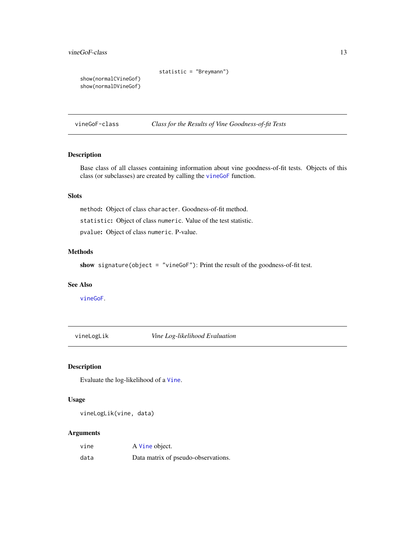```
statistic = "Breymann")
```
<span id="page-12-0"></span>show(normalCVineGof) show(normalDVineGof)

<span id="page-12-1"></span>vineGoF-class *Class for the Results of Vine Goodness-of-fit Tests*

#### Description

Base class of all classes containing information about vine goodness-of-fit tests. Objects of this class (or subclasses) are created by calling the [vineGoF](#page-10-2) function.

#### **Slots**

method: Object of class character. Goodness-of-fit method.

statistic: Object of class numeric. Value of the test statistic.

pvalue: Object of class numeric. P-value.

#### Methods

show signature(object = "vineGoF"): Print the result of the goodness-of-fit test.

#### See Also

[vineGoF](#page-10-2).

vineLogLik *Vine Log-likelihood Evaluation*

#### Description

Evaluate the log-likelihood of a [Vine](#page-5-1).

#### Usage

vineLogLik(vine, data)

#### Arguments

| vine | A Vine object.                      |
|------|-------------------------------------|
| data | Data matrix of pseudo-observations. |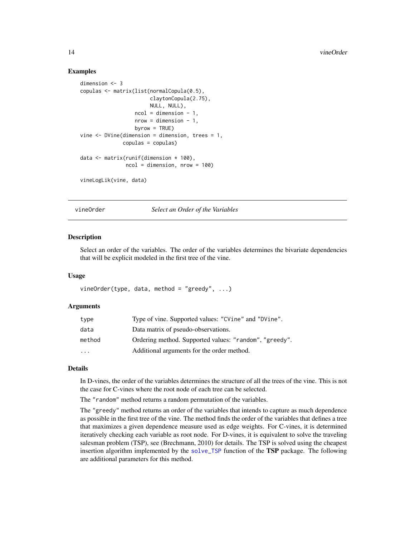#### Examples

```
dimension <- 3
copulas <- matrix(list(normalCopula(0.5),
                       claytonCopula(2.75),
                       NULL, NULL),
                  ncol = dimension - 1,
                  nrow = dimension - 1,
                  byrow = TRUE)
vine <- DVine(dimension = dimension, trees = 1,
              copulas = copulas)
data <- matrix(runif(dimension * 100),
               ncol = dimension, nrow = 100)
vineLogLik(vine, data)
```
vineOrder *Select an Order of the Variables*

#### Description

Select an order of the variables. The order of the variables determines the bivariate dependencies that will be explicit modeled in the first tree of the vine.

#### Usage

```
vineOrder(type, data, method = "greedy", ...)
```
#### Arguments

| type      | Type of vine. Supported values: "CVine" and "DVine".   |
|-----------|--------------------------------------------------------|
| data      | Data matrix of pseudo-observations.                    |
| method    | Ordering method. Supported values: "random", "greedy". |
| $\ddotsc$ | Additional arguments for the order method.             |

#### Details

In D-vines, the order of the variables determines the structure of all the trees of the vine. This is not the case for C-vines where the root node of each tree can be selected.

The "random" method returns a random permutation of the variables.

The "greedy" method returns an order of the variables that intends to capture as much dependence as possible in the first tree of the vine. The method finds the order of the variables that defines a tree that maximizes a given dependence measure used as edge weights. For C-vines, it is determined iteratively checking each variable as root node. For D-vines, it is equivalent to solve the traveling salesman problem (TSP), see (Brechmann, 2010) for details. The TSP is solved using the cheapest insertion algorithm implemented by the [solve\\_TSP](#page-0-0) function of the TSP package. The following are additional parameters for this method.

<span id="page-13-0"></span>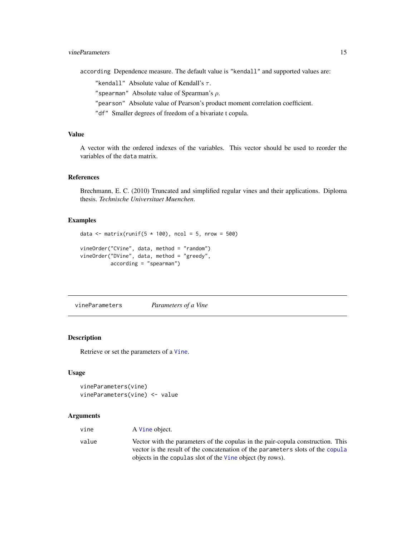<span id="page-14-0"></span>according Dependence measure. The default value is "kendall" and supported values are:

"kendall" Absolute value of Kendall's  $\tau$ .

"spearman" Absolute value of Spearman's  $\rho$ .

"pearson" Absolute value of Pearson's product moment correlation coefficient.

"df" Smaller degrees of freedom of a bivariate t copula.

#### Value

A vector with the ordered indexes of the variables. This vector should be used to reorder the variables of the data matrix.

#### References

Brechmann, E. C. (2010) Truncated and simplified regular vines and their applications. Diploma thesis. *Technische Universitaet Muenchen*.

#### Examples

```
data \leq matrix(runif(5 \neq 100), ncol = 5, nrow = 500)
vineOrder("CVine", data, method = "random")
vineOrder("DVine", data, method = "greedy",
          according = "spearman")
```
<span id="page-14-1"></span>vineParameters *Parameters of a Vine*

#### Description

Retrieve or set the parameters of a [Vine](#page-5-1).

#### Usage

```
vineParameters(vine)
vineParameters(vine) <- value
```
#### Arguments

| vine  | A Vine object.                                                                                                                                                     |
|-------|--------------------------------------------------------------------------------------------------------------------------------------------------------------------|
| value | Vector with the parameters of the copular in the pair-copula construction. This<br>vector is the result of the concatenation of the parameters slots of the copula |
|       | objects in the copular slot of the Vine object (by rows).                                                                                                          |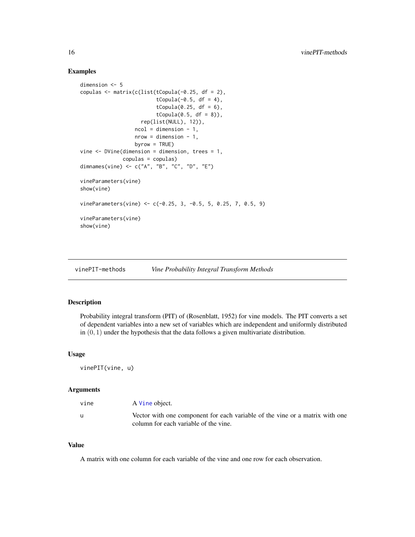#### Examples

```
dimension <- 5
copulas <- matrix(c(list(tCopula(-0.25, df = 2),
                         tCopula(-0.5, df = 4),
                         tCopula(0.25, df = 6),
                         tCopula(0.5, df = 8),
                    rep(list(NULL), 12)),
                  ncol = dimension - 1,
                  nrow = dimension - 1,
                  byrow = TRUE)
vine <- DVine(dimension = dimension, trees = 1,
              copulas = copulas)
dimnames(vine) <- c("A", "B", "C", "D", "E")
vineParameters(vine)
show(vine)
vineParameters(vine) <- c(-0.25, 3, -0.5, 5, 0.25, 7, 0.5, 9)
vineParameters(vine)
show(vine)
```
vinePIT-methods *Vine Probability Integral Transform Methods*

### <span id="page-15-1"></span>Description

Probability integral transform (PIT) of (Rosenblatt, 1952) for vine models. The PIT converts a set of dependent variables into a new set of variables which are independent and uniformly distributed in  $(0, 1)$  under the hypothesis that the data follows a given multivariate distribution.

#### Usage

vinePIT(vine, u)

#### Arguments

| vine | A Vine object.                                                                                                        |
|------|-----------------------------------------------------------------------------------------------------------------------|
|      | Vector with one component for each variable of the vine or a matrix with one<br>column for each variable of the vine. |

#### Value

A matrix with one column for each variable of the vine and one row for each observation.

<span id="page-15-0"></span>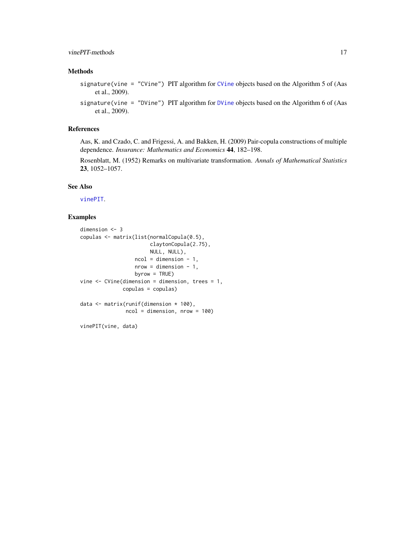#### <span id="page-16-0"></span>vinePIT-methods 17

#### Methods

signature(vine = "CVine") PIT algorithm for [CVine](#page-4-1) objects based on the Algorithm 5 of (Aas et al., 2009).

signature(vine = "DVine") PIT algorithm for [DVine](#page-4-1) objects based on the Algorithm 6 of (Aas et al., 2009).

#### References

Aas, K. and Czado, C. and Frigessi, A. and Bakken, H. (2009) Pair-copula constructions of multiple dependence. *Insurance: Mathematics and Economics* 44, 182–198.

Rosenblatt, M. (1952) Remarks on multivariate transformation. *Annals of Mathematical Statistics* 23, 1052–1057.

#### See Also

[vinePIT](#page-15-1).

#### Examples

```
dimension <- 3
copulas <- matrix(list(normalCopula(0.5),
                       claytonCopula(2.75),
                       NULL, NULL),
                  ncol = dimension - 1,
                  nrow = dimension - 1,
                  byrow = TRUE)
vine \leq CVine(dimension = dimension, trees = 1,
              copulas = copulas)
data <- matrix(runif(dimension * 100),
               ncol = dimension, nrow = 100)
```
vinePIT(vine, data)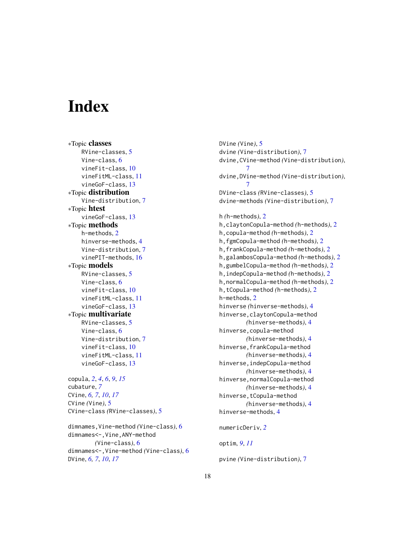# <span id="page-17-0"></span>**Index**

∗Topic classes RVine-classes, [5](#page-4-0) Vine-class, [6](#page-5-0) vineFit-class, [10](#page-9-0) vineFitML-class, [11](#page-10-0) vineGoF-class, [13](#page-12-0) ∗Topic distribution Vine-distribution, [7](#page-6-0) ∗Topic htest vineGoF-class, [13](#page-12-0) ∗Topic methods h-methods, [2](#page-1-0) hinverse-methods, [4](#page-3-0) Vine-distribution, [7](#page-6-0) vinePIT-methods, [16](#page-15-0) ∗Topic models RVine-classes, [5](#page-4-0) Vine-class, [6](#page-5-0) vineFit-class, [10](#page-9-0) vineFitML-class, [11](#page-10-0) vineGoF-class, [13](#page-12-0) ∗Topic multivariate RVine-classes, [5](#page-4-0) Vine-class, [6](#page-5-0) Vine-distribution, [7](#page-6-0) vineFit-class, [10](#page-9-0) vineFitML-class, [11](#page-10-0) vineGoF-class, [13](#page-12-0)

copula, *[2](#page-1-0)*, *[4](#page-3-0)*, *[6](#page-5-0)*, *[9](#page-8-0)*, *[15](#page-14-0)* cubature, *[7](#page-6-0)* CVine, *[6,](#page-5-0) [7](#page-6-0)*, *[10](#page-9-0)*, *[17](#page-16-0)* CVine *(*Vine*)*, [5](#page-4-0) CVine-class *(*RVine-classes*)*, [5](#page-4-0)

dimnames,Vine-method *(*Vine-class*)*, [6](#page-5-0) dimnames<-,Vine,ANY-method *(*Vine-class*)*, [6](#page-5-0) dimnames<-,Vine-method *(*Vine-class*)*, [6](#page-5-0) DVine, *[6,](#page-5-0) [7](#page-6-0)*, *[10](#page-9-0)*, *[17](#page-16-0)*

DVine *(*Vine*)*, [5](#page-4-0) dvine *(*Vine-distribution*)*, [7](#page-6-0) dvine,CVine-method *(*Vine-distribution*)*, [7](#page-6-0) dvine,DVine-method *(*Vine-distribution*)*, [7](#page-6-0) DVine-class *(*RVine-classes*)*, [5](#page-4-0) dvine-methods *(*Vine-distribution*)*, [7](#page-6-0) h *(*h-methods*)*, [2](#page-1-0) h,claytonCopula-method *(*h-methods*)*, [2](#page-1-0) h,copula-method *(*h-methods*)*, [2](#page-1-0) h,fgmCopula-method *(*h-methods*)*, [2](#page-1-0) h,frankCopula-method *(*h-methods*)*, [2](#page-1-0) h,galambosCopula-method *(*h-methods*)*, [2](#page-1-0) h,gumbelCopula-method *(*h-methods*)*, [2](#page-1-0) h,indepCopula-method *(*h-methods*)*, [2](#page-1-0) h,normalCopula-method *(*h-methods*)*, [2](#page-1-0) h,tCopula-method *(*h-methods*)*, [2](#page-1-0) h-methods, [2](#page-1-0) hinverse *(*hinverse-methods*)*, [4](#page-3-0) hinverse,claytonCopula-method *(*hinverse-methods*)*, [4](#page-3-0)

numericDeriv, *[2](#page-1-0)*

hinverse-methods, [4](#page-3-0)

hinverse,copula-method

hinverse,frankCopula-method

hinverse,indepCopula-method

hinverse,normalCopula-method

hinverse,tCopula-method

*(*hinverse-methods*)*, [4](#page-3-0)

*(*hinverse-methods*)*, [4](#page-3-0)

*(*hinverse-methods*)*, [4](#page-3-0)

*(*hinverse-methods*)*, [4](#page-3-0)

*(*hinverse-methods*)*, [4](#page-3-0)

optim, *[9](#page-8-0)*, *[11](#page-10-0)*

pvine *(*Vine-distribution*)*, [7](#page-6-0)